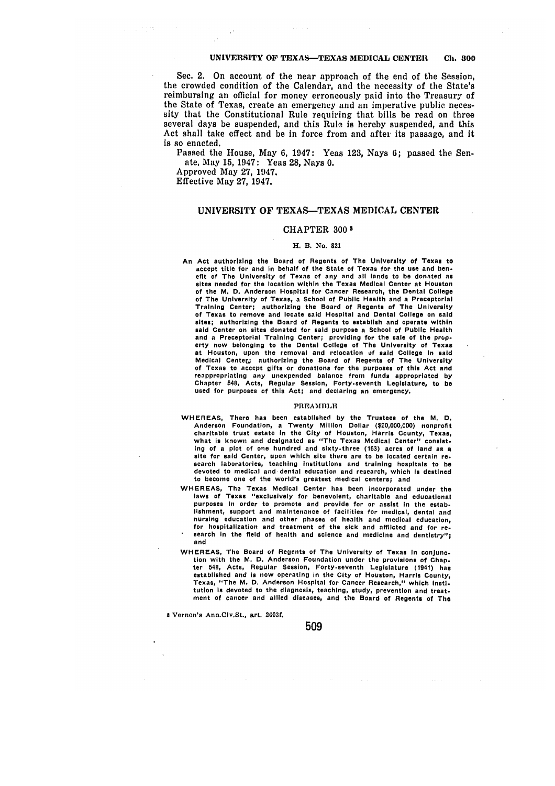# **UNIVERSITY OF TEXAS--TEXAS MEDICAL CENTER Ch. 800**

Sec. 2. On account of the near approach of the end of the Session, the crowded condition of the Calendar, and the necessity of the State's reimbursing an official for money erroneously paid into the Treasury of the State of Texas, create an emergency and an imperative public necessity that the Constitutional Rule requiring that bills be read on three several days be suspended, and this Rule is hereby suspended, and this Act shall take effect and be in force from and after its passage, and it is so enacted.

Passed the House, May **6,** 1947: Yeas **123,** Nays **6;** passed the Senate, May **15,** 1947: Yeas **28,** Nays **0.**

Approved May **27,** 1947.

Effective May **27,** 1947.

# UNIVERSITY **OF TEXAS-TEXAS MEDICAL CENTER**

#### CHAPTER **300 3**

#### H. B. No. **821**

An Act authorizing the Board of Regents of The University of Texas to accept title for and In behalf of the State of Texas for the use and benefit of The University of Texas of any and **all** lands to be donated as sites needed for the location within the Texas Medical Center at Houston of the **M. D.** Anderson Hospital for Cancer Research, the Dental College of The University of Texas, a School of Public Health and a Preceptorial Training Center; authorizing the Board of Regents of The University of Texas to remove and locate said Hospital and Dental College on **said** sites; authorizing the Board of Regents to establish and operate within said Center on sites donated for said purpose a School of Public Health and a Preceptorial Training Center; providing for the sale of the prop-erty now belonging to the Dental College of The University of Texas at Houston, upon the removal and relocation uf said College In **said** Medical Center; authorizing the Board of Regents of The University of Texas to accept gifts or donations for the purposes of this Act and reappropriating any unexpended balance from funds appropriated **by** Chapter 548, Acts, Regular Session, Forty.seventh Legislature, to be used for purposes of this Act; and declaring an emergency.

#### PREAMBLE

- WHEREAS, There has been established **by** the Trustees of the M. **D.** Anderson Foundation, **a** Twenty Million Dollar **(\$20,000,C00)** nonprofit charitable trust estate In the City of Houston, Harris County, Texas, what **is** known and designated as "The Texas Medical Center" consist. Ing of a plot of one hundred and sixty-three **(163)** acres of land as a site for said Center, upon which site there are to be located certain re- search laboratories, teaching Institutions and training hospitals to be devoted to medical and dental education and research, which **Is** destined to become one of the world's greatest medical centers; and
- WHEREAS, The Texas Medical Center has been incorporated under the laws of Texas "exclusively for benevolent, charitable and educational purposes In order to promote and provide for or assist In the establishment, support and maintenance of facilities for medical, dental and nursing education and other phases of health and medical education,<br>for hospitalization and treatment of the sick and afflicted and for re-<br>search in the field of health and science and medicine and dentistry": search in the field of health and science and medicine and dentistry";<br>and
- WHEREAS, The Board of Regents of The University of Texas in conjunction with the M. **D.** Anderson Foundation under the provisions of Chapter 548, Acts, Regular Session, Forty-seventh Legislature (1941) has established and is now operating In the City of Houston, Harris County, Texas, "The M. **D.** Anderson Hospital for Cancer Research," which Insti. tution **Is** devoted to the diagnosis, teaching, study, prevention and treat. ment of cancer and allied diseases, and the Board of Regents of The

**a** Vernon's Ann.Civ.St., art. **2GO3f.**

## 509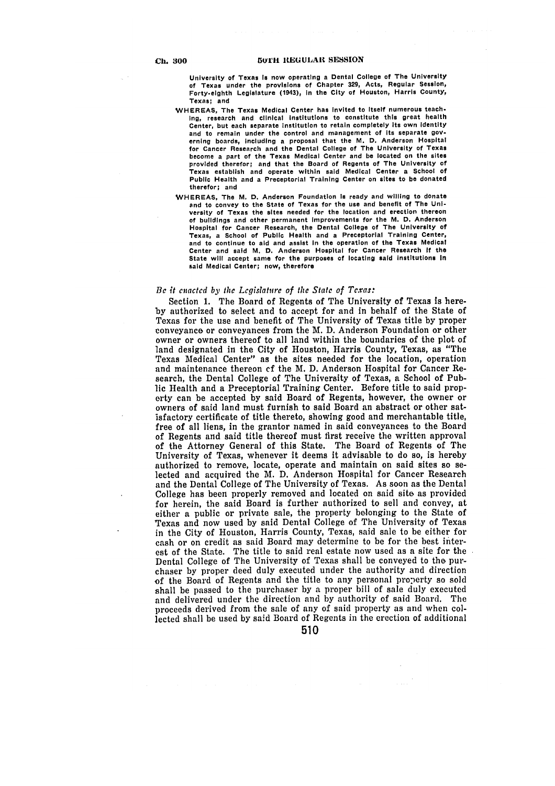University of Texas **Is** now operating a Dental College of The University of Texas under the provisions of Chapter **329,** Acts, Regular Session, Forty.eighth Legislature (1943), in the City of Houston, Harris County, Texas; and

- WHEREAS, The Texas Medical Center has Invited to Itself numerous teach. Ing, research and clinical institutions to constitute this great health Center, but each separate institution to retain completely its own identity and to remain under the control and management of Its separate governing boards, including a proposal that the M. **D.** Anderson Hospital for Cancer Research and the Dental College of The University of Texas become a part of the Texas Medical Center and be located on the sites provided therefor; and that the Board of Regents of The University of Texas establish and operate within said Medical Center a School of Public Health and a Preceptorial Training Center on sites to be donated therefor; and
- WHEREAS, The M. **D.** Anderson Foundation **Is** ready and willing to donate and to convey to the State of Texas for the use and benefit of The University of Texas the sites needed for the location and erection thereon of buildings and other permanent improvements for the M. **D.** Anderson Hospital for Cancer Research, the Dental College of The University of Texas, a School of Public Health and a Preceptorial Training Center, and to continue to aid and assist In the operation of the Texas Medical Center and said M. **D.** Anderson Hospital for Cancer Research **If** the State will accept same for the purposes of locating said institutions in said Medical Center; now, therefore

#### *Be it enacted* by **the** *Legislature of the State of Texas:*

Section **1.** The Board of Regents of The University of Texas is here**by** authorized to select and to accept for and in behalf of the State of Texas for the use and benefit of The University of Texas title **by** proper conveyance or conveyances from the M. **D.** Anderson Foundation or other owner or owners thereof to all land within the boundaries of the plot of land designated in the City of Houston, Harris County, Texas, as "The Texas Medical Center" as the sites needed for the location, operation and maintenance thereon **cf** the M. **D.** Anderson Hospital for Cancer Research, the Dental College of The University of Texas, a School of Public Health and a Preceptorial Training Center. Before title to said property can be accepted **by** said Board of Regents, however, the owner or owners of said land must furnish to said Board an abstract or other satisfactory certificate of title thereto, showing good and merchantable title, free of all liens, in the grantor named in said conveyances to the Board of Regents and said title thereof must first receive the written approval of the Attorney General of this State. The Board of Regents of The University of Texas, whenever it deems it advisable to do so, is hereby authorized to remove, locate, operate and maintain on said sites so selected and acquired the M. **D.** Anderson Hospital for Cancer Research and the Dental College of The University of Texas. As soon as the Dental College has been properly removed and located on said site as provided for herein, the said Board is further authorized to sell and convey, at either a public or private sale, the property belonging to the State of Texas and now used by said Dental College of The University of Texas in the City of Houston, Harris County, Texas, said sale to be either for cash or on credit as said Board may determine to be for the best interest of the State. The title to said real estate now used as a site for the Dental College of The University of Texas shall be conveyed to the purchaser by proper deed duly executed under the authority and direction of the Board of Regents and the title to any personal property so sold shall be passed to the purchaser by a proper bill of sale duly executed and delivered under the direction and by authority of said Board. The proceeds derived from the sale of any of said property as and when collected shall be used by said Board of Regents in the erection of additional